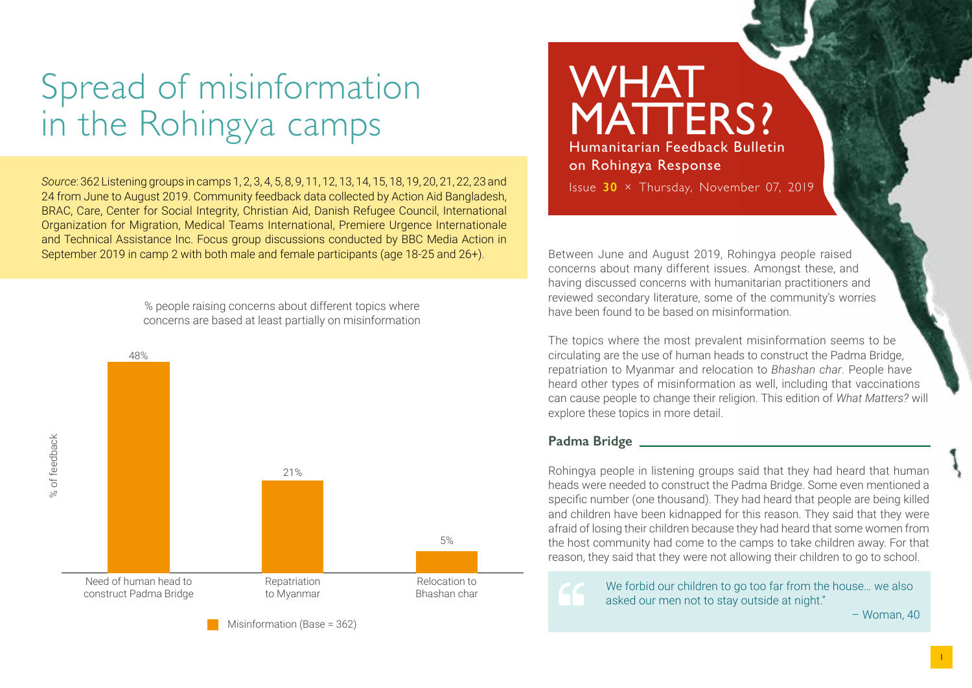# Spread of misinformation in the Rohingya camps

*Source*: 362 Listening groups in camps 1, 2, 3, 4, 5, 8, 9, 11, 12, 13, 14, 15, 18, 19, 20, 21, 22, 23 and 24 from June to August 2019. Community feedback data collected by Action Aid Bangladesh, BRAC, Care, Center for Social Integrity, Christian Aid, Danish Refugee Council, International Organization for Migration, Medical Teams International, Premiere Urgence Internationale and Technical Assistance Inc. Focus group discussions conducted by BBC Media Action in September 2019 in camp 2 with both male and female participants (age 18-25 and 26+).

> % people raising concerns about different topics where concerns are based at least partially on misinformation



Misinformation (Base = 362)

# WHAT MATTERS? Humanitarian Feedback Bulletin

on Rohingya Response

Issue **30** × Thursday, November 07, 2019

Between June and August 2019, Rohingya people raised concerns about many different issues. Amongst these, and having discussed concerns with humanitarian practitioners and reviewed secondary literature, some of the community's worries have been found to be based on misinformation.

The topics where the most prevalent misinformation seems to be circulating are the use of human heads to construct the Padma Bridge, repatriation to Myanmar and relocation to *Bhashan char*. People have heard other types of misinformation as well, including that vaccinations can cause people to change their religion. This edition of *What Matters?* will explore these topics in more detail.

### **Padma Bridge**

Rohingya people in listening groups said that they had heard that human heads were needed to construct the Padma Bridge. Some even mentioned a specific number (one thousand). They had heard that people are being killed and children have been kidnapped for this reason. They said that they were afraid of losing their children because they had heard that some women from the host community had come to the camps to take children away. For that reason, they said that they were not allowing their children to go to school.

> We forbid our children to go too far from the house… we also asked our men not to stay outside at night."

– Woman, 40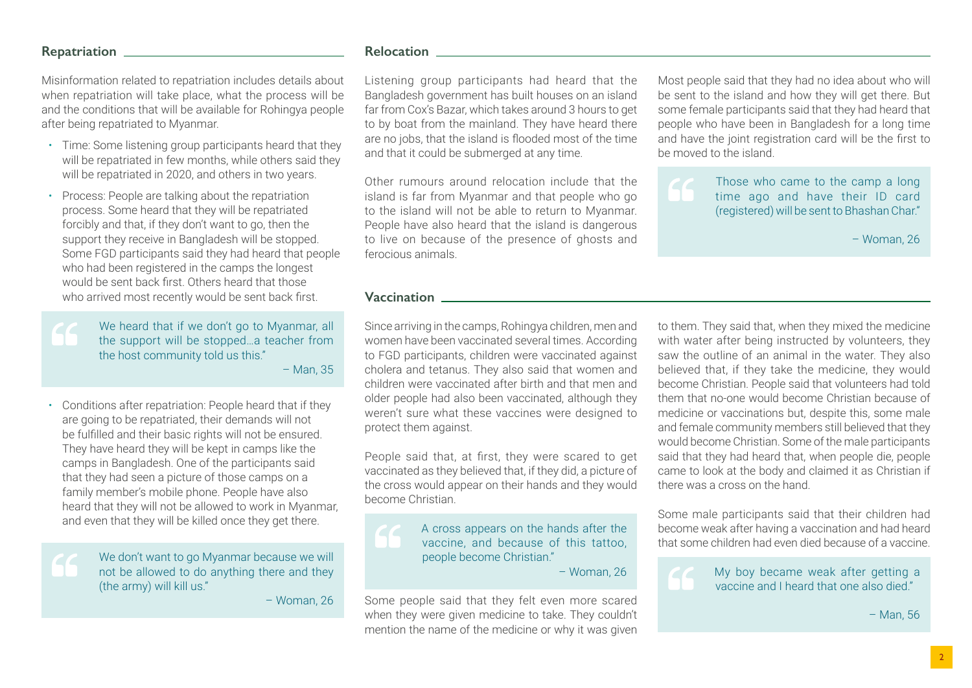#### **Repatriation**

Misinformation related to repatriation includes details about when repatriation will take place, what the process will be and the conditions that will be available for Rohingya people after being repatriated to Myanmar.

- Time: Some listening group participants heard that they will be repatriated in few months, while others said they will be repatriated in 2020, and others in two years.
- Process: People are talking about the repatriation process. Some heard that they will be repatriated forcibly and that, if they don't want to go, then the support they receive in Bangladesh will be stopped. Some FGD participants said they had heard that people who had been registered in the camps the longest would be sent back first. Others heard that those who arrived most recently would be sent back first.

We heard that if we don't go to Myanmar, all the support will be stopped…a teacher from the host community told us this." – Man, 35

• Conditions after repatriation: People heard that if they are going to be repatriated, their demands will not be fulfilled and their basic rights will not be ensured. They have heard they will be kept in camps like the camps in Bangladesh. One of the participants said that they had seen a picture of those camps on a family member's mobile phone. People have also heard that they will not be allowed to work in Myanmar, and even that they will be killed once they get there.

> We don't want to go Myanmar because we will not be allowed to do anything there and they (the army) will kill us."

> > – Woman, 26

#### **Relocation**

Listening group participants had heard that the Bangladesh government has built houses on an island far from Cox's Bazar, which takes around 3 hours to get to by boat from the mainland. They have heard there are no jobs, that the island is flooded most of the time and that it could be submerged at any time.

Other rumours around relocation include that the island is far from Myanmar and that people who go to the island will not be able to return to Myanmar. People have also heard that the island is dangerous to live on because of the presence of ghosts and ferocious animals.

Most people said that they had no idea about who will be sent to the island and how they will get there. But some female participants said that they had heard that people who have been in Bangladesh for a long time and have the joint registration card will be the first to be moved to the island.

Those who came to the camp a long time ago and have their ID card (registered) will be sent to Bhashan Char."

– Woman, 26

#### **Vaccination**

Since arriving in the camps, Rohingya children, men and women have been vaccinated several times. According to FGD participants, children were vaccinated against cholera and tetanus. They also said that women and children were vaccinated after birth and that men and older people had also been vaccinated, although they weren't sure what these vaccines were designed to protect them against.

People said that, at first, they were scared to get vaccinated as they believed that, if they did, a picture of the cross would appear on their hands and they would become Christian.

> A cross appears on the hands after the vaccine, and because of this tattoo, people become Christian."

– Woman, 26

Some people said that they felt even more scared when they were given medicine to take. They couldn't mention the name of the medicine or why it was given to them. They said that, when they mixed the medicine with water after being instructed by volunteers, they saw the outline of an animal in the water. They also believed that, if they take the medicine, they would become Christian. People said that volunteers had told them that no-one would become Christian because of medicine or vaccinations but, despite this, some male and female community members still believed that they would become Christian. Some of the male participants said that they had heard that, when people die, people came to look at the body and claimed it as Christian if there was a cross on the hand.

Some male participants said that their children had become weak after having a vaccination and had heard that some children had even died because of a vaccine.



My boy became weak after getting a vaccine and I heard that one also died."

– Man, 56